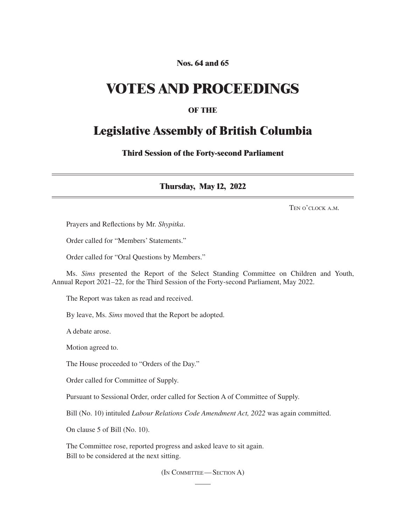#### **Nos. 64 and 65**

## **VOTES AND PROCEEDINGS**

#### **OF THE**

### **Legislative Assembly of British Columbia**

**Third Session of the Forty-second Parliament**

**Thursday, May 12, 2022**

Ten o'clock a.m.

Prayers and Reflections by Mr. *Shypitka*.

Order called for "Members' Statements."

Order called for "Oral Questions by Members."

Ms. *Sims* presented the Report of the Select Standing Committee on Children and Youth, Annual Report 2021–22, for the Third Session of the Forty-second Parliament, May 2022.

The Report was taken as read and received.

By leave, Ms. *Sims* moved that the Report be adopted.

A debate arose.

Motion agreed to.

The House proceeded to "Orders of the Day."

Order called for Committee of Supply.

Pursuant to Sessional Order, order called for Section A of Committee of Supply.

Bill (No. 10) intituled *Labour Relations Code Amendment Act, 2022* was again committed.

On clause 5 of Bill (No. 10).

The Committee rose, reported progress and asked leave to sit again. Bill to be considered at the next sitting.

(In Committee—Section A)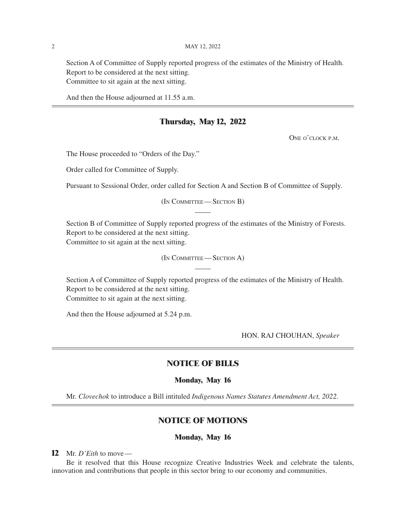Section A of Committee of Supply reported progress of the estimates of the Ministry of Health. Report to be considered at the next sitting. Committee to sit again at the next sitting.

And then the House adjourned at 11.55 a.m.

#### **Thursday, May 12, 2022**

ONE O'CLOCK P.M.

The House proceeded to "Orders of the Day."

Order called for Committee of Supply.

Pursuant to Sessional Order, order called for Section A and Section B of Committee of Supply.

(In Committee—Section B)

Section B of Committee of Supply reported progress of the estimates of the Ministry of Forests. Report to be considered at the next sitting. Committee to sit again at the next sitting.

(In Committee—Section A)

Section A of Committee of Supply reported progress of the estimates of the Ministry of Health. Report to be considered at the next sitting. Committee to sit again at the next sitting.

And then the House adjourned at 5.24 p.m.

HON. RAJ CHOUHAN, *Speaker*

#### **NOTICE OF BILLS**

#### **Monday, May 16**

Mr. *Clovechok* to introduce a Bill intituled *Indigenous Names Statutes Amendment Act, 2022*.

#### **NOTICE OF MOTIONS**

#### **Monday, May 16**

**12** Mr. *D'Eith* to move—

Be it resolved that this House recognize Creative Industries Week and celebrate the talents, innovation and contributions that people in this sector bring to our economy and communities.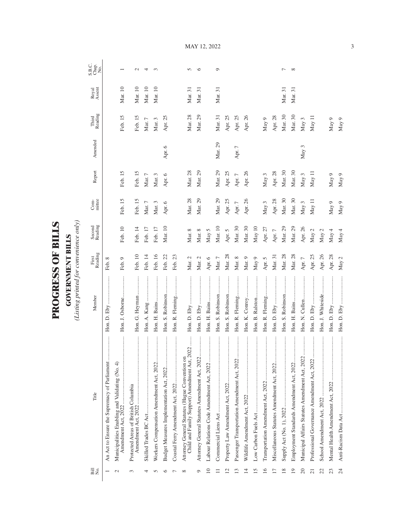| )<br>ו       |
|--------------|
| $\mathbf{I}$ |
| ſ            |
|              |
|              |
|              |
| くくしょ         |
| r<br>C       |
|              |
|              |
|              |
|              |

**GOVERNMENT BILLS**<br>(Listing printed for convenience only) *(Listing printed for convenience only)*

**GOVERNMENT BILLS**

| Bill<br>N⊙.              | Title                                                                                           | Member                                    | First<br>Reading | Second<br>Reading | Com-<br>mittee | Report   | Amended  | Third<br>Reading | Royal<br>Assent | S.B.C.<br>Chap.<br>No. |
|--------------------------|-------------------------------------------------------------------------------------------------|-------------------------------------------|------------------|-------------------|----------------|----------|----------|------------------|-----------------|------------------------|
|                          | An Act to Ensure the Supremacy of Parliament                                                    |                                           | Feb. 8           |                   |                |          |          |                  |                 |                        |
|                          | Municipalities Enabling and Validating (No. 4)<br>Amendment Act, 2022                           | Hon. J. Osborne                           | Feb. 9           | Feb. 10           | Feb. 15        | Feb. 15  |          | Feb. 15          | Mar. 10         |                        |
| 3                        | Protected Areas of British Columbia                                                             | Hon. G. Heyman                            | Feb. 10          | Feb. 14           | Feb. 15        | Feb. 15  |          | Feb. 15          | Mar. 10         | $\sim$                 |
|                          |                                                                                                 |                                           | Feb. 14          | Feb. 17           | Mar. $7$       | Mar. $7$ |          | Mar. $7\,$       | Mar. 10         | 4                      |
|                          | Workers Compensation Amendment Act, 2022                                                        |                                           | Feb. 16          | Feb. 17           | Mar. 3         | Mar. 3   |          | Mar. 3           | Mar. 10         | $\infty$               |
|                          | Budget Measures Implementation Act, 2022                                                        | Hon. S. Robinson                          | Feb. 22          | Mar. 10           | Apr. 6         | Apr. 6   | Apr. 6   | Apr. 25          |                 |                        |
|                          |                                                                                                 | Hon. R. Fleming                           | Feb. 23          |                   |                |          |          |                  |                 |                        |
| ∞                        | Child and Family Support) Amendment Act, 2022<br>Attorney General Statutes (Hague Convention on |                                           | Mar. 2           | Mar. 8            | Mar. 28        | Mar. 28  |          | Mar. 28          | Mar. 31         | S                      |
| O                        | Attorney General Statutes Amendment Act, 2022.                                                  |                                           | Mar. 2           | Mar. 8            | Mar. 29        | Mar. 29  |          | Mar. 29          | Mar. 31         | ७                      |
| $\supseteq$              | Labour Relations Code Amendment Act, 2022                                                       |                                           | Apr. 6           | May 5             |                |          |          |                  |                 |                        |
|                          |                                                                                                 | Hon. S. Robinson                          | Mar. $7$         | Mar. 10           | Mar. 29        | Mar. 29  | Mar. 29  | Mar. 31          | Mar. 31         | Ó                      |
| $\overline{\mathcal{C}}$ |                                                                                                 | Hon. S. Robinson                          | Mar. 28          | Apr. 5            | Apr. 25        | Apr. 25  |          | Apr. 25          |                 |                        |
| ൗ                        | Passenger Transportation Amendment Act, 2022                                                    | Hon. R. Fleming                           | Mar. 8           | Mar. 30           | Apr. $7$       | Apr. $7$ | Apr. $7$ | Apr. 25          |                 |                        |
| $\overline{14}$          |                                                                                                 | Hon. K. Conroy                            | Mar. 9           | Mar. 30           | Apr. 26        | Apr. 26  |          | Apr. 26          |                 |                        |
| $\overline{15}$          |                                                                                                 | Hon. B. Ralston                           | May 9            | May $10$          |                |          |          |                  |                 |                        |
| 16                       |                                                                                                 | Hon. R. Fleming                           | Apr. 5           | Apr. 27           | May $3$        | May 3    |          | May 9            |                 |                        |
| $\overline{17}$          | Miscellaneous Statutes Amendment Act, 2022                                                      | .<br>.<br>.<br>.<br>.<br>.<br>Hon. D. Eby | Mar. 31          | Apr. $7$          | Apr. 28        | Apr. 28  |          | Apr. 28          |                 |                        |
| $\frac{8}{2}$            |                                                                                                 | Hon. S. Robinson                          | Mar. 28          | Mar. 29           | Mar. 30        | Mar. 30  |          | Mar. 30          | Mar. 31         | ┍                      |
| $\overline{19}$          | Employment Standards Amendment Act, 2022                                                        |                                           | Mar. 28          | Mar. 29           | Mar. 30        | Mar. 30  |          | Mar. 30          | Mar. 31         | ${}^{\circ}$           |
| 20                       | <br>Municipal Affairs Statutes Amendment Act, 2022                                              |                                           | Apr. $7\,$       | Apr. 26           | May 3          | May 3    | May 3    | May 3            |                 |                        |
|                          | Professional Governance Amendment Act, 2022                                                     |                                           | Apr. $25\,$      | May $2$           | May 11         | May 11   |          | May 11           |                 |                        |
| 22                       |                                                                                                 | Hon. J. Whiteside                         | Apr. 26 $\,$     | May $2$           |                |          |          |                  |                 |                        |
| 23                       |                                                                                                 |                                           | Apr. 28          | May 4             | May 9          | May 9    |          | May 9            |                 |                        |
| 24                       | Anti-Racism Data Act                                                                            |                                           | May $2$          | May 4             | May $9$        | May $9$  |          | May $9$          |                 |                        |

May 12, 2022

3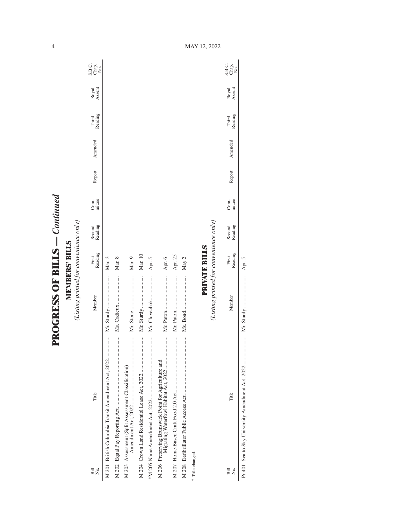**PROGRESS OF BILLS - Continued PROGRESS OF BILLS** *— Continued*

**MEMBERS' BILLS**<br>(Listing printed for convenience only) *(Listing printed for convenience only)* **MEMBERS' BILLS**

| Bill<br>Σó,      | Title                                                                            | Member                                 | Reading<br>First     | Second<br>Reading | mittee<br>Com- | Report | Amended | Reading<br>Third | Royal<br>Assent | C<br>Sag<br>Sag   |
|------------------|----------------------------------------------------------------------------------|----------------------------------------|----------------------|-------------------|----------------|--------|---------|------------------|-----------------|-------------------|
|                  | M 201 British Columbia Transit Amendment Act, 2022                               |                                        | Mar. 3               |                   |                |        |         |                  |                 |                   |
|                  |                                                                                  |                                        | Mar. 8               |                   |                |        |         |                  |                 |                   |
|                  | :<br>:<br>:<br>:<br>:<br>:<br>M 203 Assessment (Split Assessment Classification) |                                        | Mar. 9               |                   |                |        |         |                  |                 |                   |
|                  |                                                                                  |                                        | Mar. 10              |                   |                |        |         |                  |                 |                   |
|                  |                                                                                  | Mr. Clovechok                          | Apr. 5               |                   |                |        |         |                  |                 |                   |
|                  |                                                                                  |                                        | Apr. 6               |                   |                |        |         |                  |                 |                   |
|                  |                                                                                  |                                        | Apr. 25              |                   |                |        |         |                  |                 |                   |
|                  |                                                                                  |                                        | May 2                |                   |                |        |         |                  |                 |                   |
| * Title changed. |                                                                                  |                                        |                      |                   |                |        |         |                  |                 |                   |
|                  |                                                                                  |                                        | <b>PRIVATE BILLS</b> |                   |                |        |         |                  |                 |                   |
|                  |                                                                                  | (Listing printed for convenience only) |                      |                   |                |        |         |                  |                 |                   |
| Bill<br>Σó,      | Title                                                                            | Member                                 | Reading<br>First     | Second<br>Reading | Com-<br>mittee | Report | Amended | Third<br>Reading | Royal<br>Assent | C<br>Sago<br>Sago |

Apr. 5 Pr 401 Sea to Sky University Amendment Act, 2022 ..................... Mr. Sturdy ........................ Apr. 5

4